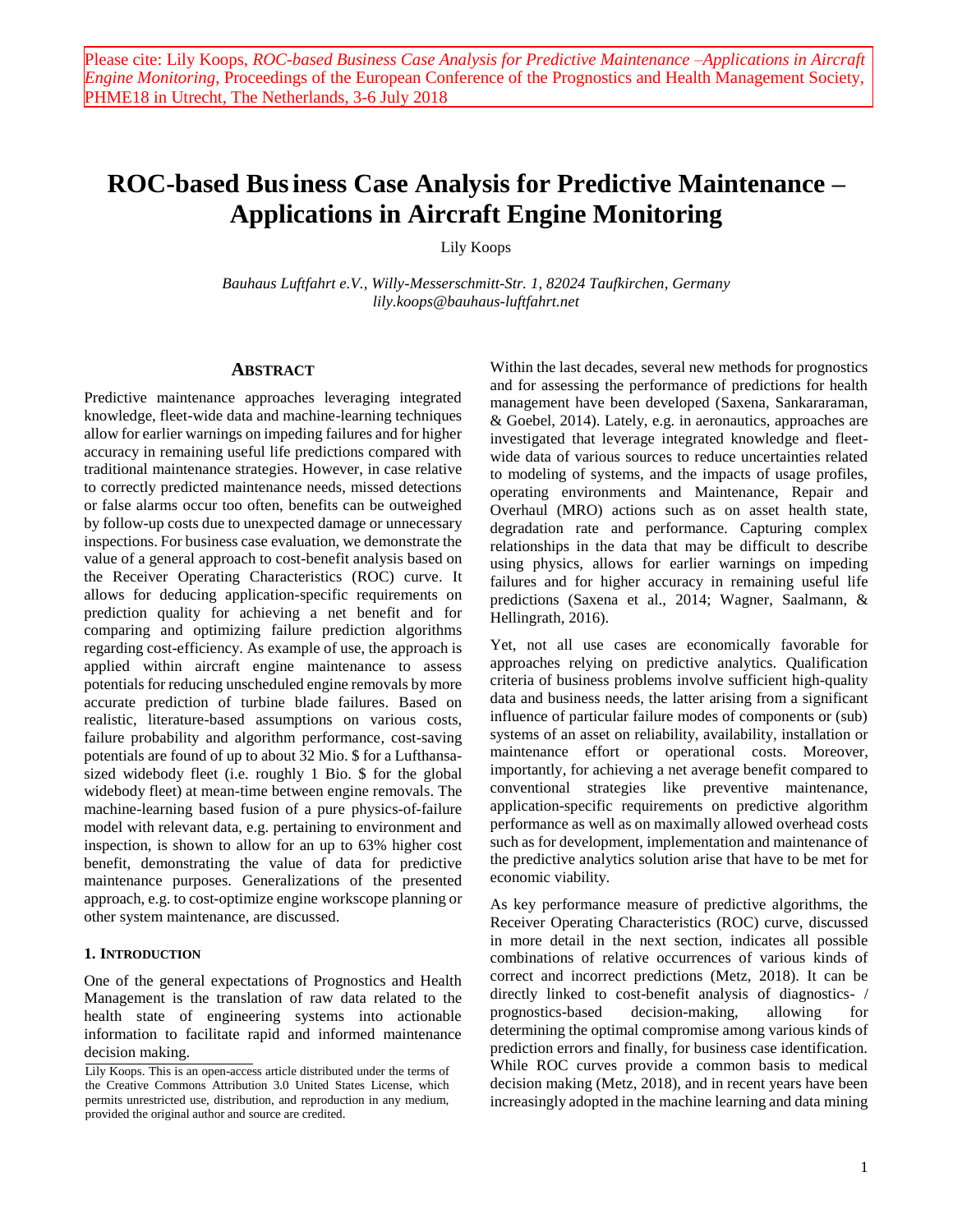# **ROC-based Business Case Analysis for Predictive Maintenance – Applications in Aircraft Engine Monitoring**

Lily Koops

*Bauhaus Luftfahrt e.V., Willy-Messerschmitt-Str. 1, 82024 Taufkirchen, Germany lily.koops@bauhaus-luftfahrt.net*

#### **ABSTRACT**

Predictive maintenance approaches leveraging integrated knowledge, fleet-wide data and machine-learning techniques allow for earlier warnings on impeding failures and for higher accuracy in remaining useful life predictions compared with traditional maintenance strategies. However, in case relative to correctly predicted maintenance needs, missed detections or false alarms occur too often, benefits can be outweighed by follow-up costs due to unexpected damage or unnecessary inspections. For business case evaluation, we demonstrate the value of a general approach to cost-benefit analysis based on the Receiver Operating Characteristics (ROC) curve. It allows for deducing application-specific requirements on prediction quality for achieving a net benefit and for comparing and optimizing failure prediction algorithms regarding cost-efficiency. As example of use, the approach is applied within aircraft engine maintenance to assess potentials for reducing unscheduled engine removals by more accurate prediction of turbine blade failures. Based on realistic, literature-based assumptions on various costs, failure probability and algorithm performance, cost-saving potentials are found of up to about 32 Mio. \$ for a Lufthansasized widebody fleet (i.e. roughly 1 Bio. \$ for the global widebody fleet) at mean-time between engine removals. The machine-learning based fusion of a pure physics-of-failure model with relevant data, e.g. pertaining to environment and inspection, is shown to allow for an up to 63% higher cost benefit, demonstrating the value of data for predictive maintenance purposes. Generalizations of the presented approach, e.g. to cost-optimize engine workscope planning or other system maintenance, are discussed.

#### **1. INTRODUCTION**

One of the general expectations of Prognostics and Health Management is the translation of raw data related to the health state of engineering systems into actionable information to facilitate rapid and informed maintenance decision making.

Within the last decades, several new methods for prognostics and for assessing the performance of predictions for health management have been developed (Saxena, Sankararaman, & Goebel, 2014). Lately, e.g. in aeronautics, approaches are investigated that leverage integrated knowledge and fleetwide data of various sources to reduce uncertainties related to modeling of systems, and the impacts of usage profiles, operating environments and Maintenance, Repair and Overhaul (MRO) actions such as on asset health state, degradation rate and performance. Capturing complex relationships in the data that may be difficult to describe using physics, allows for earlier warnings on impeding failures and for higher accuracy in remaining useful life predictions (Saxena et al., 2014; Wagner, Saalmann, & Hellingrath, 2016).

Yet, not all use cases are economically favorable for approaches relying on predictive analytics. Qualification criteria of business problems involve sufficient high-quality data and business needs, the latter arising from a significant influence of particular failure modes of components or (sub) systems of an asset on reliability, availability, installation or maintenance effort or operational costs. Moreover, importantly, for achieving a net average benefit compared to conventional strategies like preventive maintenance, application-specific requirements on predictive algorithm performance as well as on maximally allowed overhead costs such as for development, implementation and maintenance of the predictive analytics solution arise that have to be met for economic viability.

As key performance measure of predictive algorithms, the Receiver Operating Characteristics (ROC) curve, discussed in more detail in the next section, indicates all possible combinations of relative occurrences of various kinds of correct and incorrect predictions (Metz, 2018). It can be directly linked to cost-benefit analysis of diagnostics- / prognostics-based decision-making, allowing for determining the optimal compromise among various kinds of prediction errors and finally, for business case identification. While ROC curves provide a common basis to medical decision making (Metz, 2018), and in recent years have been increasingly adopted in the machine learning and data mining

Lily Koops. This is an open-access article distributed under the terms of the Creative Commons Attribution 3.0 United States License, which permits unrestricted use, distribution, and reproduction in any medium, provided the original author and source are credited.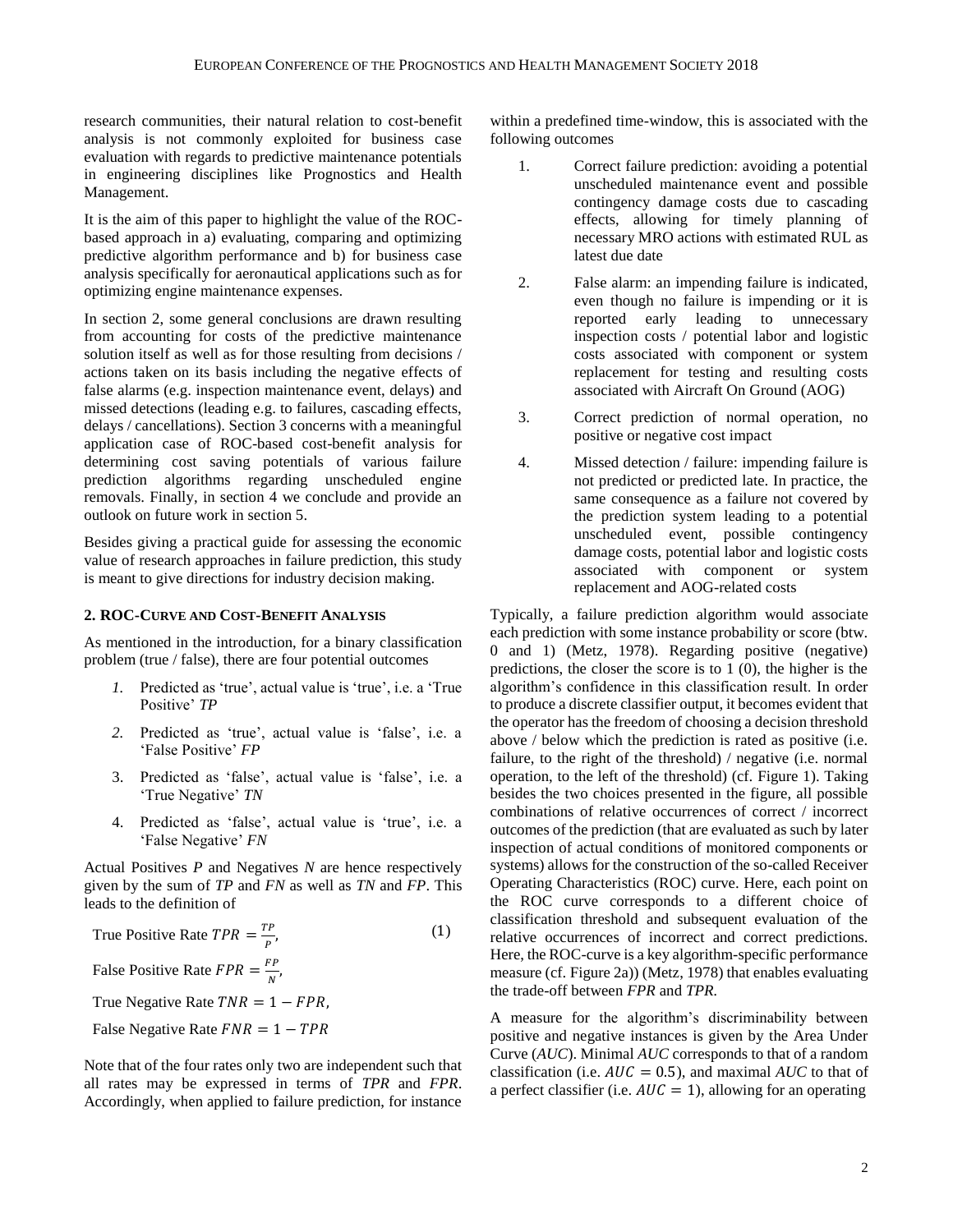research communities, their natural relation to cost-benefit analysis is not commonly exploited for business case evaluation with regards to predictive maintenance potentials in engineering disciplines like Prognostics and Health Management.

It is the aim of this paper to highlight the value of the ROCbased approach in a) evaluating, comparing and optimizing predictive algorithm performance and b) for business case analysis specifically for aeronautical applications such as for optimizing engine maintenance expenses.

In section 2, some general conclusions are drawn resulting from accounting for costs of the predictive maintenance solution itself as well as for those resulting from decisions / actions taken on its basis including the negative effects of false alarms (e.g. inspection maintenance event, delays) and missed detections (leading e.g. to failures, cascading effects, delays / cancellations). Section 3 concerns with a meaningful application case of ROC-based cost-benefit analysis for determining cost saving potentials of various failure prediction algorithms regarding unscheduled engine removals. Finally, in section 4 we conclude and provide an outlook on future work in section 5.

Besides giving a practical guide for assessing the economic value of research approaches in failure prediction, this study is meant to give directions for industry decision making.

## <span id="page-1-0"></span>**2. ROC-CURVE AND COST-BENEFIT ANALYSIS**

As mentioned in the introduction, for a binary classification problem (true / false), there are four potential outcomes

- *1.* Predicted as 'true', actual value is 'true', i.e. a 'True Positive' *TP*
- *2.* Predicted as 'true', actual value is 'false', i.e. a 'False Positive' *FP*
- 3. Predicted as 'false', actual value is 'false', i.e. a 'True Negative' *TN*
- 4. Predicted as 'false', actual value is 'true', i.e. a 'False Negative' *FN*

Actual Positives *P* and Negatives *N* are hence respectively given by the sum of *TP* and *FN* as well as *TN* and *FP*. This leads to the definition of

| True Positive Rate $TPR = \frac{TP}{R}$ ,                      | (1) |
|----------------------------------------------------------------|-----|
| False Positive Rate $FPR = \frac{FP}{N}$ ,                     |     |
| True Negative Rate $TNR = 1 - FPR$ ,                           |     |
| False Negative Rate $FNR = 1 - TPR$                            |     |
| Note that of the four rates only two are independent such that |     |

Note that of the four rates only two are independent such that all rates may be expressed in terms of *TPR* and *FPR*. Accordingly, when applied to failure prediction, for instance within a predefined time-window, this is associated with the following outcomes

- 1. Correct failure prediction: avoiding a potential unscheduled maintenance event and possible contingency damage costs due to cascading effects, allowing for timely planning of necessary MRO actions with estimated RUL as latest due date
- 2. False alarm: an impending failure is indicated, even though no failure is impending or it is reported early leading to unnecessary inspection costs / potential labor and logistic costs associated with component or system replacement for testing and resulting costs associated with Aircraft On Ground (AOG)
- 3. Correct prediction of normal operation, no positive or negative cost impact
- 4. Missed detection / failure: impending failure is not predicted or predicted late. In practice, the same consequence as a failure not covered by the prediction system leading to a potential unscheduled event, possible contingency damage costs, potential labor and logistic costs associated with component or system replacement and AOG-related costs

Typically, a failure prediction algorithm would associate each prediction with some instance probability or score (btw. 0 and 1) (Metz, 1978). Regarding positive (negative) predictions, the closer the score is to 1 (0), the higher is the algorithm's confidence in this classification result. In order to produce a discrete classifier output, it becomes evident that the operator has the freedom of choosing a decision threshold above / below which the prediction is rated as positive (i.e. failure, to the right of the threshold) / negative (i.e. normal operation, to the left of the threshold) (cf. [Figure 1\)](#page-2-0). Taking besides the two choices presented in the figure, all possible combinations of relative occurrences of correct / incorrect outcomes of the prediction (that are evaluated as such by later inspection of actual conditions of monitored components or systems) allows for the construction of the so-called Receiver Operating Characteristics (ROC) curve. Here, each point on the ROC curve corresponds to a different choice of classification threshold and subsequent evaluation of the relative occurrences of incorrect and correct predictions. Here, the ROC-curve is a key algorithm-specific performance measure (cf. [Figure 2a](#page-3-0))) (Metz, 1978) that enables evaluating the trade-off between *FPR* and *TPR.*

A measure for the algorithm's discriminability between positive and negative instances is given by the Area Under Curve (*AUC*). Minimal *AUC* corresponds to that of a random classification (i.e.  $AUC = 0.5$ ), and maximal  $AUC$  to that of a perfect classifier (i.e.  $AUC = 1$ ), allowing for an operating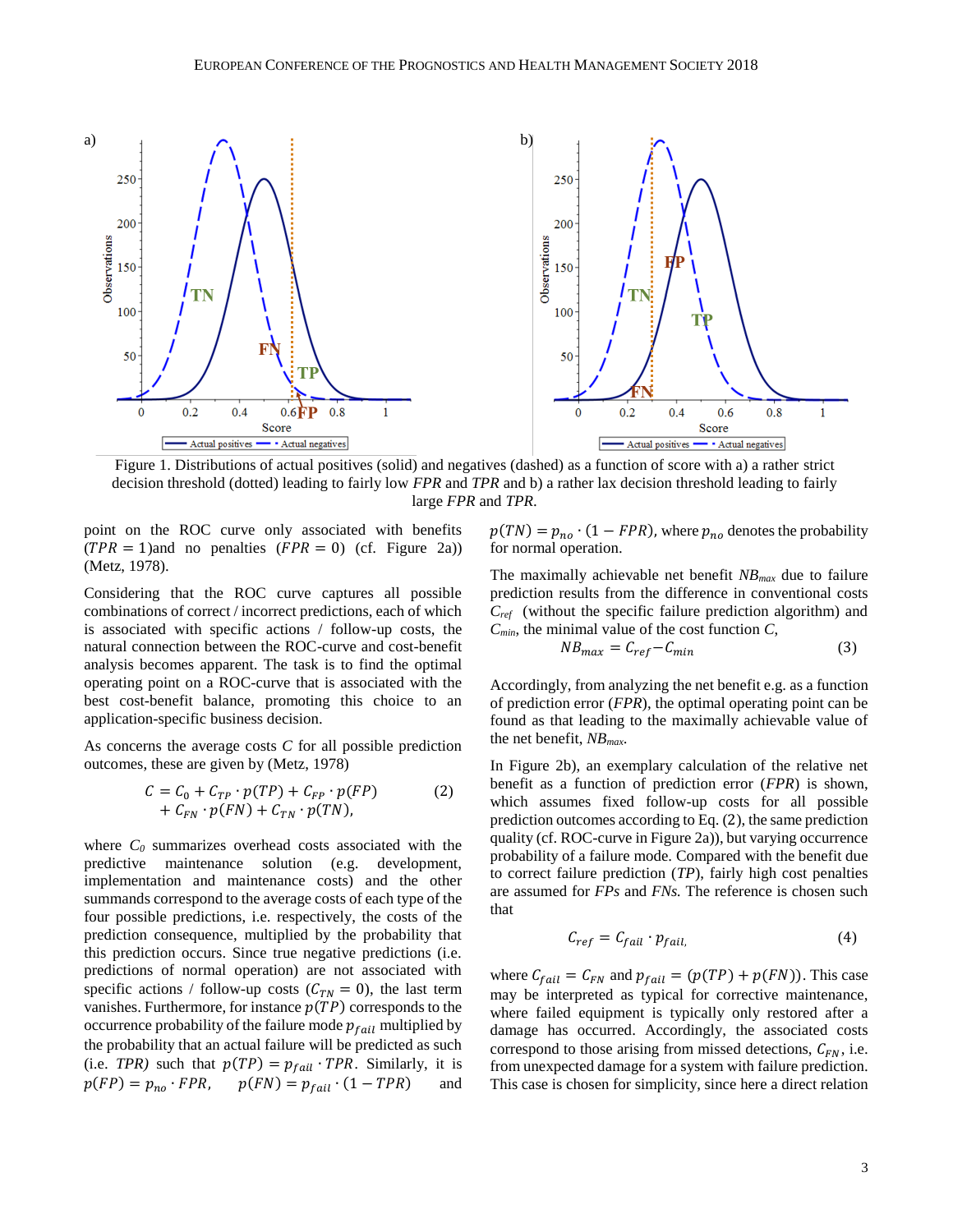

<span id="page-2-0"></span>Figure 1. Distributions of actual positives (solid) and negatives (dashed) as a function of score with a) a rather strict decision threshold (dotted) leading to fairly low *FPR* and *TPR* and b) a rather lax decision threshold leading to fairly large *FPR* and *TPR*.

point on the ROC curve only associated with benefits  $(TPR = 1)$ and no penalties  $(FPR = 0)$  (cf. [Figure 2a](#page-3-0))) (Metz, 1978).

Considering that the ROC curve captures all possible combinations of correct / incorrect predictions, each of which is associated with specific actions / follow-up costs, the natural connection between the ROC-curve and cost-benefit analysis becomes apparent. The task is to find the optimal operating point on a ROC-curve that is associated with the best cost-benefit balance, promoting this choice to an application-specific business decision.

As concerns the average costs *C* for all possible prediction outcomes, these are given by (Metz, 1978)

$$
C = C_0 + C_{TP} \cdot p(TP) + C_{FP} \cdot p(FP) \tag{2}
$$
  
+ 
$$
C_{FN} \cdot p(FN) + C_{TN} \cdot p(TN),
$$

where  $C_0$  summarizes overhead costs associated with the predictive maintenance solution (e.g. development, implementation and maintenance costs) and the other summands correspond to the average costs of each type of the four possible predictions, i.e. respectively, the costs of the prediction consequence, multiplied by the probability that this prediction occurs. Since true negative predictions (i.e. predictions of normal operation) are not associated with specific actions / follow-up costs ( $C_{TN} = 0$ ), the last term vanishes. Furthermore, for instance  $p(TP)$  corresponds to the occurrence probability of the failure mode  $p_{fail}$  multiplied by the probability that an actual failure will be predicted as such (i.e. *TPR*) such that  $p(TP) = p_{fail} \cdot TPR$ . Similarly, it is  $p(FP) = p_{no} \cdot FPR$ ,  $p(FN) = p_{fail} \cdot (1 - TPR)$  and  $p(TN) = p_{no} \cdot (1 - FPR)$ , where  $p_{no}$  denotes the probability for normal operation.

The maximally achievable net benefit *NBmax* due to failure prediction results from the difference in conventional costs *Cref* (without the specific failure prediction algorithm) and  $C_{min}$ , the minimal value of the cost function  $C$ ,

<span id="page-2-2"></span>
$$
NB_{max} = C_{ref} - C_{min} \tag{3}
$$

Accordingly, from analyzing the net benefit e.g. as a function of prediction error (*FPR*), the optimal operating point can be found as that leading to the maximally achievable value of the net benefit, *NBmax*.

<span id="page-2-1"></span>In [Figure 2b](#page-3-0)), an exemplary calculation of the relative net benefit as a function of prediction error (*FPR*) is shown, which assumes fixed follow-up costs for all possible prediction outcomes according to Eq. (2[\),](#page-2-1) the same prediction quality (cf. ROC-curve in [Figure 2a](#page-3-0))), but varying occurrence probability of a failure mode. Compared with the benefit due to correct failure prediction (*TP*), fairly high cost penalties are assumed for *FPs* and *FNs.* The reference is chosen such that

<span id="page-2-3"></span>
$$
C_{ref} = C_{fail} \cdot p_{fail} \tag{4}
$$

where  $C_{fail} = C_{FN}$  and  $p_{fail} = (p(TP) + p(FN))$ . This case may be interpreted as typical for corrective maintenance, where failed equipment is typically only restored after a damage has occurred. Accordingly, the associated costs correspond to those arising from missed detections,  $C_{FN}$ , i.e. from unexpected damage for a system with failure prediction. This case is chosen for simplicity, since here a direct relation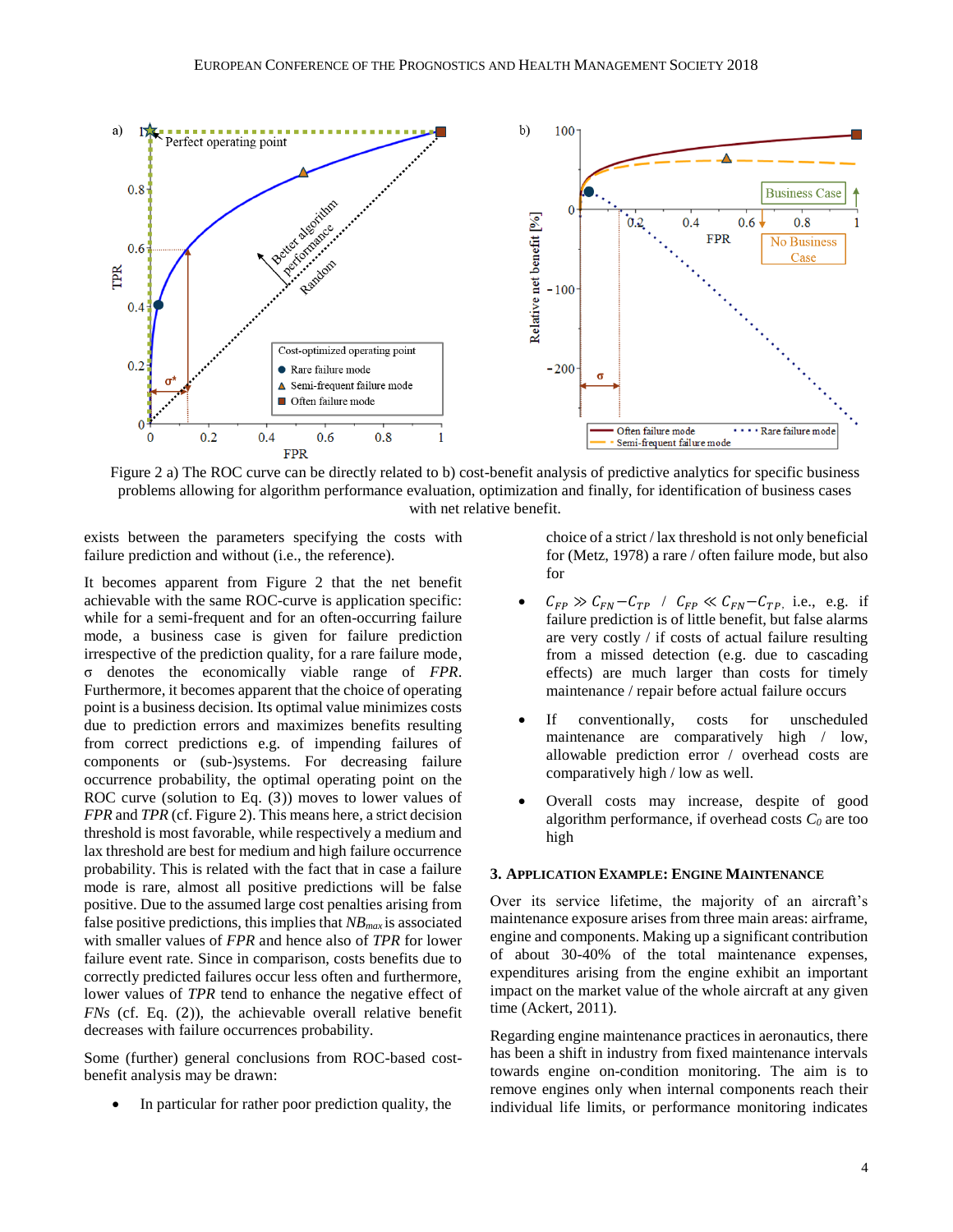

<span id="page-3-0"></span>Figure 2 a) The ROC curve can be directly related to b) cost-benefit analysis of predictive analytics for specific business problems allowing for algorithm performance evaluation, optimization and finally, for identification of business cases with net relative benefit.

exists between the parameters specifying the costs with failure prediction and without (i.e., the reference).

It becomes apparent from [Figure 2](#page-3-0) that the net benefit achievable with the same ROC-curve is application specific: while for a semi-frequent and for an often-occurring failure mode, a business case is given for failure prediction irrespective of the prediction quality, for a rare failure mode, σ denotes the economically viable range of *FPR*. Furthermore, it becomes apparent that the choice of operating point is a business decision. Its optimal value minimizes costs due to prediction errors and maximizes benefits resulting from correct predictions e.g. of impending failures of components or (sub-)systems. For decreasing failure occurrence probability, the optimal operating point on the ROC curve (solution to Eq. (3[\)\)](#page-2-2) moves to lower values of *FPR* and *TPR* (cf. [Figure 2\)](#page-3-0). This means here, a strict decision threshold is most favorable, while respectively a medium and lax threshold are best for medium and high failure occurrence probability. This is related with the fact that in case a failure mode is rare, almost all positive predictions will be false positive. Due to the assumed large cost penalties arising from false positive predictions, this implies that *NBmax* is associated with smaller values of *FPR* and hence also of *TPR* for lower failure event rate. Since in comparison, costs benefits due to correctly predicted failures occur less often and furthermore, lower values of *TPR* tend to enhance the negative effect of *FNs* (cf. Eq. (2[\)\)](#page-2-1), the achievable overall relative benefit decreases with failure occurrences probability.

Some (further) general conclusions from ROC-based costbenefit analysis may be drawn:

In particular for rather poor prediction quality, the

choice of a strict / lax threshold is not only beneficial for (Metz, 1978) a rare / often failure mode, but also for

- $C_{FP} \gg C_{FN}-C_{TP}$  /  $C_{FP} \ll C_{FN}-C_{TP}$ , i.e., e.g. if failure prediction is of little benefit, but false alarms are very costly / if costs of actual failure resulting from a missed detection (e.g. due to cascading effects) are much larger than costs for timely maintenance / repair before actual failure occurs
- If conventionally, costs for unscheduled maintenance are comparatively high / low, allowable prediction error / overhead costs are comparatively high / low as well.
- Overall costs may increase, despite of good algorithm performance, if overhead costs *C<sup>0</sup>* are too high

#### **3. APPLICATION EXAMPLE: ENGINE MAINTENANCE**

Over its service lifetime, the majority of an aircraft's maintenance exposure arises from three main areas: airframe, engine and components. Making up a significant contribution of about 30-40% of the total maintenance expenses, expenditures arising from the engine exhibit an important impact on the market value of the whole aircraft at any given time (Ackert, 2011).

Regarding engine maintenance practices in aeronautics, there has been a shift in industry from fixed maintenance intervals towards engine on-condition monitoring. The aim is to remove engines only when internal components reach their individual life limits, or performance monitoring indicates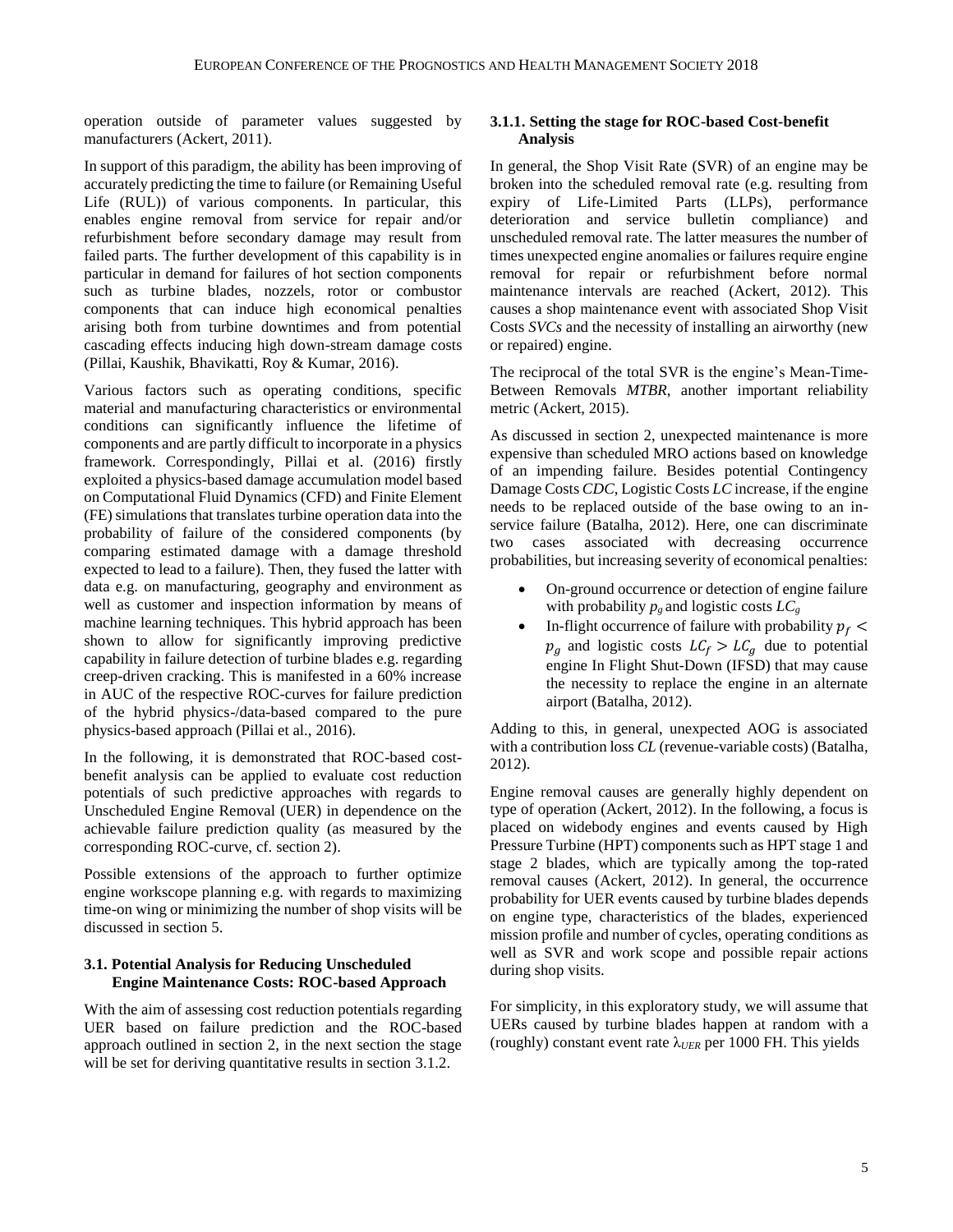operation outside of parameter values suggested by manufacturers (Ackert, 2011).

In support of this paradigm, the ability has been improving of accurately predicting the time to failure (or Remaining Useful Life (RUL)) of various components. In particular, this enables engine removal from service for repair and/or refurbishment before secondary damage may result from failed parts. The further development of this capability is in particular in demand for failures of hot section components such as turbine blades, nozzels, rotor or combustor components that can induce high economical penalties arising both from turbine downtimes and from potential cascading effects inducing high down-stream damage costs (Pillai, Kaushik, Bhavikatti, Roy & Kumar, 2016).

Various factors such as operating conditions, specific material and manufacturing characteristics or environmental conditions can significantly influence the lifetime of components and are partly difficult to incorporate in a physics framework. Correspondingly, Pillai et al. (2016) firstly exploited a physics-based damage accumulation model based on Computational Fluid Dynamics (CFD) and Finite Element (FE) simulations that translates turbine operation data into the probability of failure of the considered components (by comparing estimated damage with a damage threshold expected to lead to a failure). Then, they fused the latter with data e.g. on manufacturing, geography and environment as well as customer and inspection information by means of machine learning techniques. This hybrid approach has been shown to allow for significantly improving predictive capability in failure detection of turbine blades e.g. regarding creep-driven cracking. This is manifested in a 60% increase in AUC of the respective ROC-curves for failure prediction of the hybrid physics-/data-based compared to the pure physics-based approach (Pillai et al., 2016).

In the following, it is demonstrated that ROC-based costbenefit analysis can be applied to evaluate cost reduction potentials of such predictive approaches with regards to Unscheduled Engine Removal (UER) in dependence on the achievable failure prediction quality (as measured by the corresponding ROC-curve, cf. section 2).

Possible extensions of the approach to further optimize engine workscope planning e.g. with regards to maximizing time-on wing or minimizing the number of shop visits will be discussed in section 5.

## **3.1. Potential Analysis for Reducing Unscheduled Engine Maintenance Costs: ROC-based Approach**

With the aim of assessing cost reduction potentials regarding UER based on failure prediction and the ROC-based approach outlined in section 2, in the next section the stage will be set for deriving quantitative results in section [3.1.2.](#page-6-0)

## <span id="page-4-0"></span>**3.1.1. Setting the stage for ROC-based Cost-benefit Analysis**

In general, the Shop Visit Rate (SVR) of an engine may be broken into the scheduled removal rate (e.g. resulting from expiry of Life-Limited Parts (LLPs), performance deterioration and service bulletin compliance) and unscheduled removal rate. The latter measures the number of times unexpected engine anomalies or failures require engine removal for repair or refurbishment before normal maintenance intervals are reached (Ackert, 2012). This causes a shop maintenance event with associated Shop Visit Costs *SVCs* and the necessity of installing an airworthy (new or repaired) engine.

The reciprocal of the total SVR is the engine's Mean-Time-Between Removals *MTBR*, another important reliability metric (Ackert, 2015).

As discussed in section 2, unexpected maintenance is more expensive than scheduled MRO actions based on knowledge of an impending failure. Besides potential Contingency Damage Costs *CDC*, Logistic Costs *LC* increase, if the engine needs to be replaced outside of the base owing to an inservice failure (Batalha, 2012). Here, one can discriminate two cases associated with decreasing occurrence probabilities, but increasing severity of economical penalties:

- On-ground occurrence or detection of engine failure with probability  $p_g$  and logistic costs  $LC_g$
- In-flight occurrence of failure with probability  $p_f$  <  $p_g$  and logistic costs  $LC_f > LC_g$  due to potential engine In Flight Shut-Down (IFSD) that may cause the necessity to replace the engine in an alternate airport (Batalha, 2012).

Adding to this, in general, unexpected AOG is associated with a contribution loss *CL* (revenue-variable costs) (Batalha, 2012).

Engine removal causes are generally highly dependent on type of operation (Ackert, 2012). In the following, a focus is placed on widebody engines and events caused by High Pressure Turbine (HPT) components such as HPT stage 1 and stage 2 blades, which are typically among the top-rated removal causes (Ackert, 2012). In general, the occurrence probability for UER events caused by turbine blades depends on engine type, characteristics of the blades, experienced mission profile and number of cycles, operating conditions as well as SVR and work scope and possible repair actions during shop visits.

For simplicity, in this exploratory study, we will assume that UERs caused by turbine blades happen at random with a (roughly) constant event rate  $\lambda_{UER}$  per 1000 FH. This yields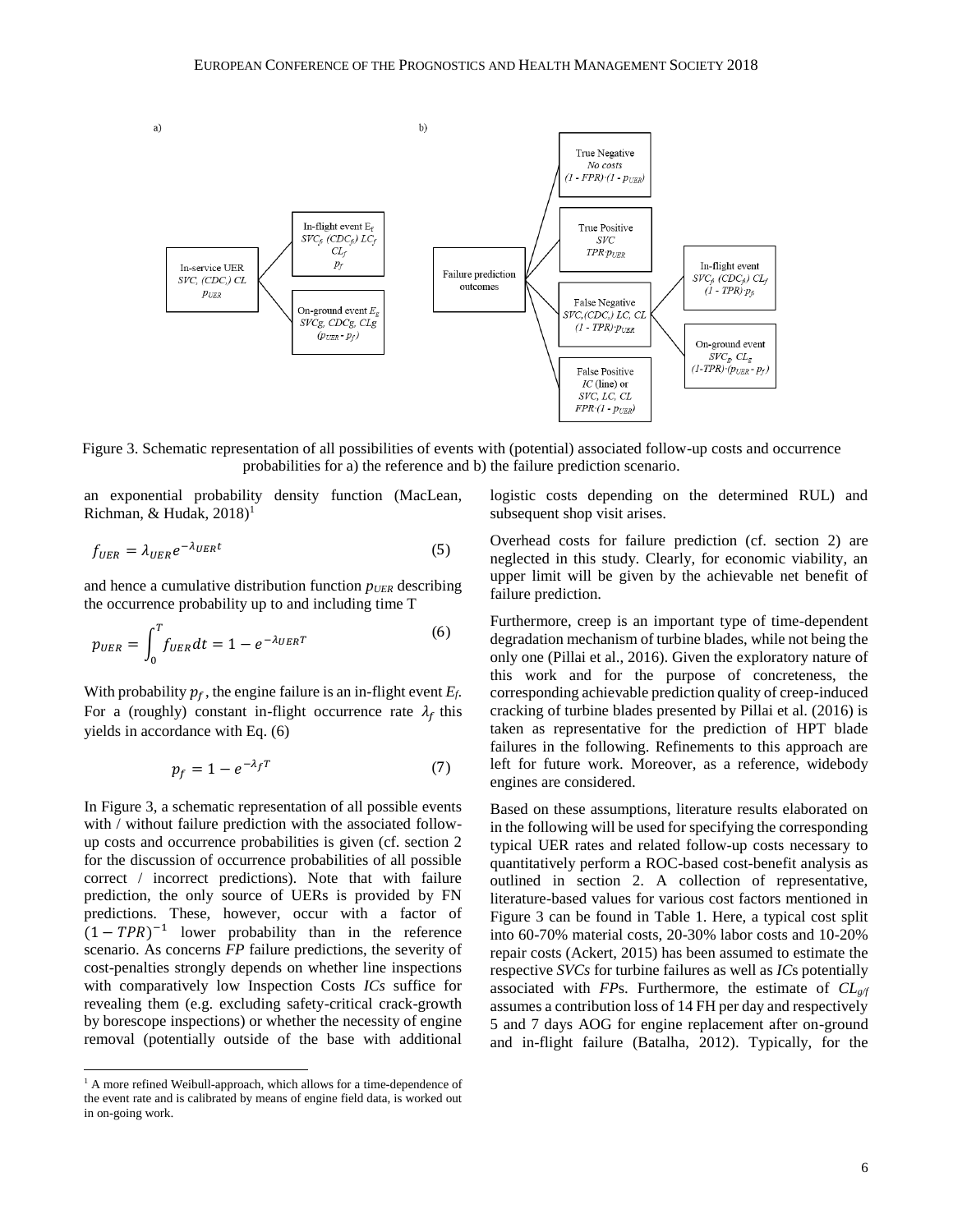

<span id="page-5-0"></span>Figure 3. Schematic representation of all possibilities of events with (potential) associated follow-up costs and occurrence probabilities for a) the reference and b) the failure prediction scenario.

an exponential probability density function (MacLean, Richman, & Hudak,  $2018$ <sup>1</sup>

$$
f_{UER} = \lambda_{UER} e^{-\lambda_{UER}t} \tag{5}
$$

and hence a cumulative distribution function *pUER* describing the occurrence probability up to and including time T

$$
p_{UER} = \int_0^T f_{UER} dt = 1 - e^{-\lambda_{UER}T}
$$
 (6)

With probability  $p_f$ , the engine failure is an in-flight event  $E_f$ . For a (roughly) constant in-flight occurrence rate  $\lambda_f$  this yields in accordance with Eq. (6)

$$
p_f = 1 - e^{-\lambda_f T} \tag{7}
$$

In [Figure 3,](#page-5-0) a schematic representation of all possible events with / without failure prediction with the associated followup costs and occurrence probabilities is given (cf. section 2 for the discussion of occurrence probabilities of all possible correct / incorrect predictions). Note that with failure prediction, the only source of UERs is provided by FN predictions. These, however, occur with a factor of  $(1 - TPR)^{-1}$  lower probability than in the reference scenario. As concerns *FP* failure predictions, the severity of cost-penalties strongly depends on whether line inspections with comparatively low Inspection Costs *ICs* suffice for revealing them (e.g. excluding safety-critical crack-growth by borescope inspections) or whether the necessity of engine removal (potentially outside of the base with additional

 $\overline{a}$ 

logistic costs depending on the determined RUL) and subsequent shop visit arises.

Overhead costs for failure prediction (cf. section [2\)](#page-1-0) are neglected in this study. Clearly, for economic viability, an upper limit will be given by the achievable net benefit of failure prediction.

<span id="page-5-1"></span>Furthermore, creep is an important type of time-dependent degradation mechanism of turbine blades, while not being the only one (Pillai et al., 2016). Given the exploratory nature of this work and for the purpose of concreteness, the corresponding achievable prediction quality of creep-induced cracking of turbine blades presented by Pillai et al. (2016) is taken as representative for the prediction of HPT blade failures in the following. Refinements to this approach are left for future work. Moreover, as a reference, widebody engines are considered.

<span id="page-5-2"></span>Based on these assumptions, literature results elaborated on in the following will be used for specifying the corresponding typical UER rates and related follow-up costs necessary to quantitatively perform a ROC-based cost-benefit analysis as outlined in section 2. A collection of representative, literature-based values for various cost factors mentioned in [Figure 3](#page-5-0) can be found in [Table 1.](#page-6-1) Here, a typical cost split into 60-70% material costs, 20-30% labor costs and 10-20% repair costs (Ackert, 2015) has been assumed to estimate the respective *SVCs* for turbine failures as well as *IC*s potentially associated with *FP*s. Furthermore, the estimate of *CLg/f* assumes a contribution loss of 14 FH per day and respectively 5 and 7 days AOG for engine replacement after on-ground and in-flight failure (Batalha, 2012). Typically, for the

<sup>&</sup>lt;sup>1</sup> A more refined Weibull-approach, which allows for a time-dependence of the event rate and is calibrated by means of engine field data, is worked out in on-going work.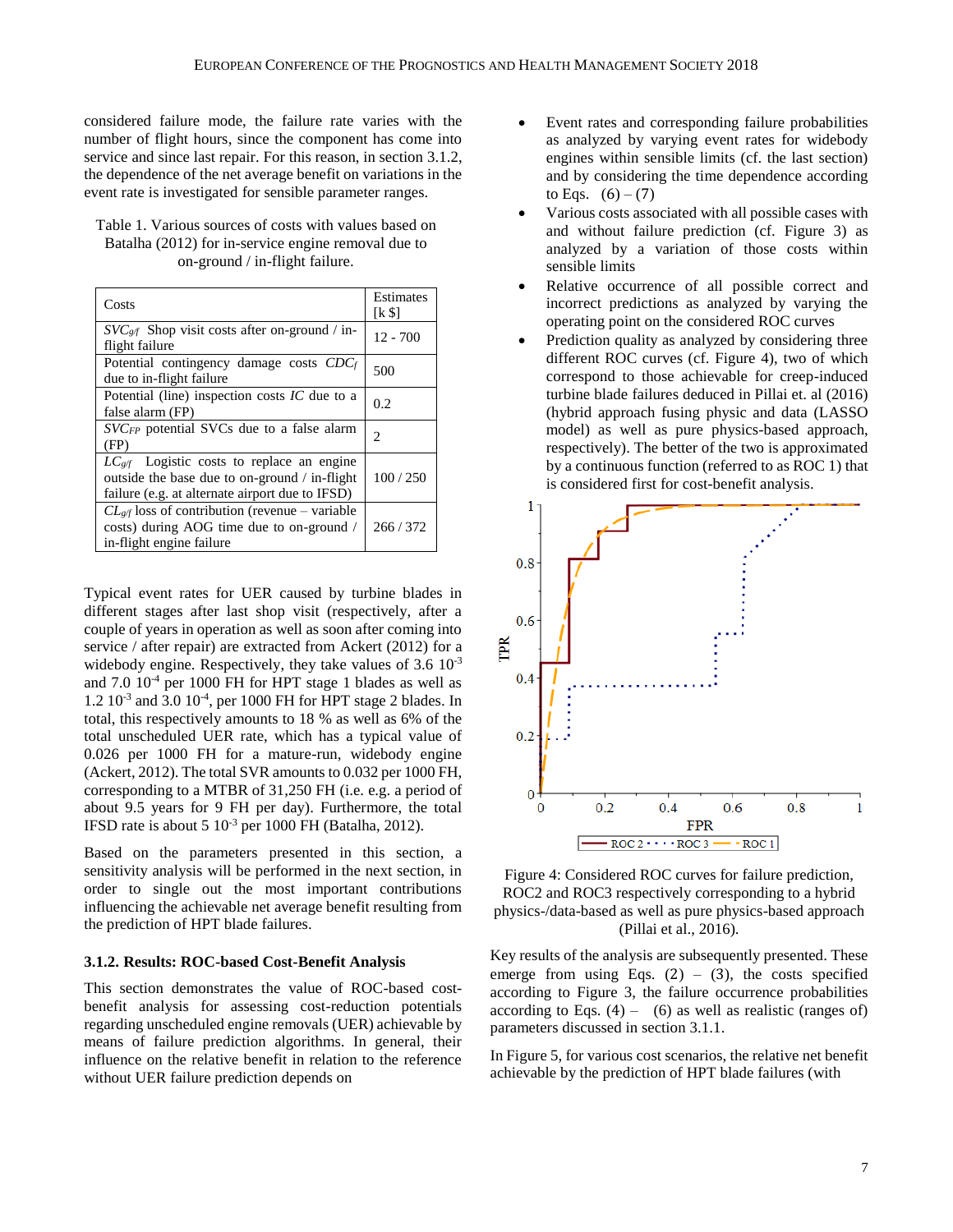considered failure mode, the failure rate varies with the number of flight hours, since the component has come into service and since last repair. For this reason, in sectio[n 3.1.2,](#page-6-0) the dependence of the net average benefit on variations in the event rate is investigated for sensible parameter ranges.

<span id="page-6-1"></span>Table 1. Various sources of costs with values based on Batalha (2012) for in-service engine removal due to on-ground / in-flight failure.

| Costs                                                                                                                                                     | <b>Estimates</b><br>[k \$] |
|-----------------------------------------------------------------------------------------------------------------------------------------------------------|----------------------------|
| $SVCg/f$ Shop visit costs after on-ground / in-<br>flight failure                                                                                         | $12 - 700$                 |
| Potential contingency damage costs CDCf<br>due to in-flight failure                                                                                       | 500                        |
| Potential (line) inspection costs $IC$ due to a<br>false alarm (FP)                                                                                       | 0.2                        |
| SVCFP potential SVCs due to a false alarm<br>(FP)                                                                                                         | 2                          |
| $LC_{\text{g/f}}$ Logistic costs to replace an engine<br>outside the base due to on-ground / in-flight<br>failure (e.g. at alternate airport due to IFSD) | 100/250                    |
| $CL_{\mathcal{Q}}$ loss of contribution (revenue – variable<br>costs) during AOG time due to on-ground /<br>in-flight engine failure                      | 266/372                    |

Typical event rates for UER caused by turbine blades in different stages after last shop visit (respectively, after a couple of years in operation as well as soon after coming into service / after repair) are extracted from Ackert (2012) for a widebody engine. Respectively, they take values of 3.6  $10^{-3}$ and 7.0 10-4 per 1000 FH for HPT stage 1 blades as well as 1.2 10-3 and 3.0 10-4 , per 1000 FH for HPT stage 2 blades. In total, this respectively amounts to 18 % as well as 6% of the total unscheduled UER rate, which has a typical value of 0.026 per 1000 FH for a mature-run, widebody engine (Ackert, 2012). The total SVR amounts to 0.032 per 1000 FH, corresponding to a MTBR of 31,250 FH (i.e. e.g. a period of about 9.5 years for 9 FH per day). Furthermore, the total IFSD rate is about 5  $10^{-3}$  per 1000 FH (Batalha, 2012).

Based on the parameters presented in this section, a sensitivity analysis will be performed in the next section, in order to single out the most important contributions influencing the achievable net average benefit resulting from the prediction of HPT blade failures.

#### <span id="page-6-0"></span>**3.1.2. Results: ROC-based Cost-Benefit Analysis**

This section demonstrates the value of ROC-based costbenefit analysis for assessing cost-reduction potentials regarding unscheduled engine removals (UER) achievable by means of failure prediction algorithms. In general, their influence on the relative benefit in relation to the reference without UER failure prediction depends on

- Event rates and corresponding failure probabilities as analyzed by varying event rates for widebody engines within sensible limits (cf. the last section) and by considering the time dependence according to Eqs.  $(6) - (7)$  $(6) - (7)$  $(6) - (7)$
- Various costs associated with all possible cases with and without failure prediction (cf. [Figure 3\)](#page-5-0) as analyzed by a variation of those costs within sensible limits
- Relative occurrence of all possible correct and incorrect predictions as analyzed by varying the operating point on the considered ROC curves
- Prediction quality as analyzed by considering three different ROC curves (cf. [Figure 4\)](#page-6-2), two of which correspond to those achievable for creep-induced turbine blade failures deduced in Pillai et. al (2016) (hybrid approach fusing physic and data (LASSO model) as well as pure physics-based approach, respectively). The better of the two is approximated by a continuous function (referred to as ROC 1) that is considered first for cost-benefit analysis.



<span id="page-6-2"></span>Figure 4: Considered ROC curves for failure prediction, ROC2 and ROC3 respectively corresponding to a hybrid physics-/data-based as well as pure physics-based approach (Pillai et al., 2016).

Key results of the analysis are subsequently presented. These emerge from using Eqs.  $(2) - (3)$  $(2) - (3)$  $(2) - (3)$  $(2) - (3)$  $(2) - (3)$ , the costs specified according to [Figure 3,](#page-5-0) the failure occurrence probabilities according to Eqs.  $(4)$  –  $(6)$  as well as realistic [\(](#page-2-3)ranges of) parameters discussed in section [3.1.1.](#page-4-0)

I[n Figure 5,](#page-7-0) for various cost scenarios, the relative net benefit achievable by the prediction of HPT blade failures (with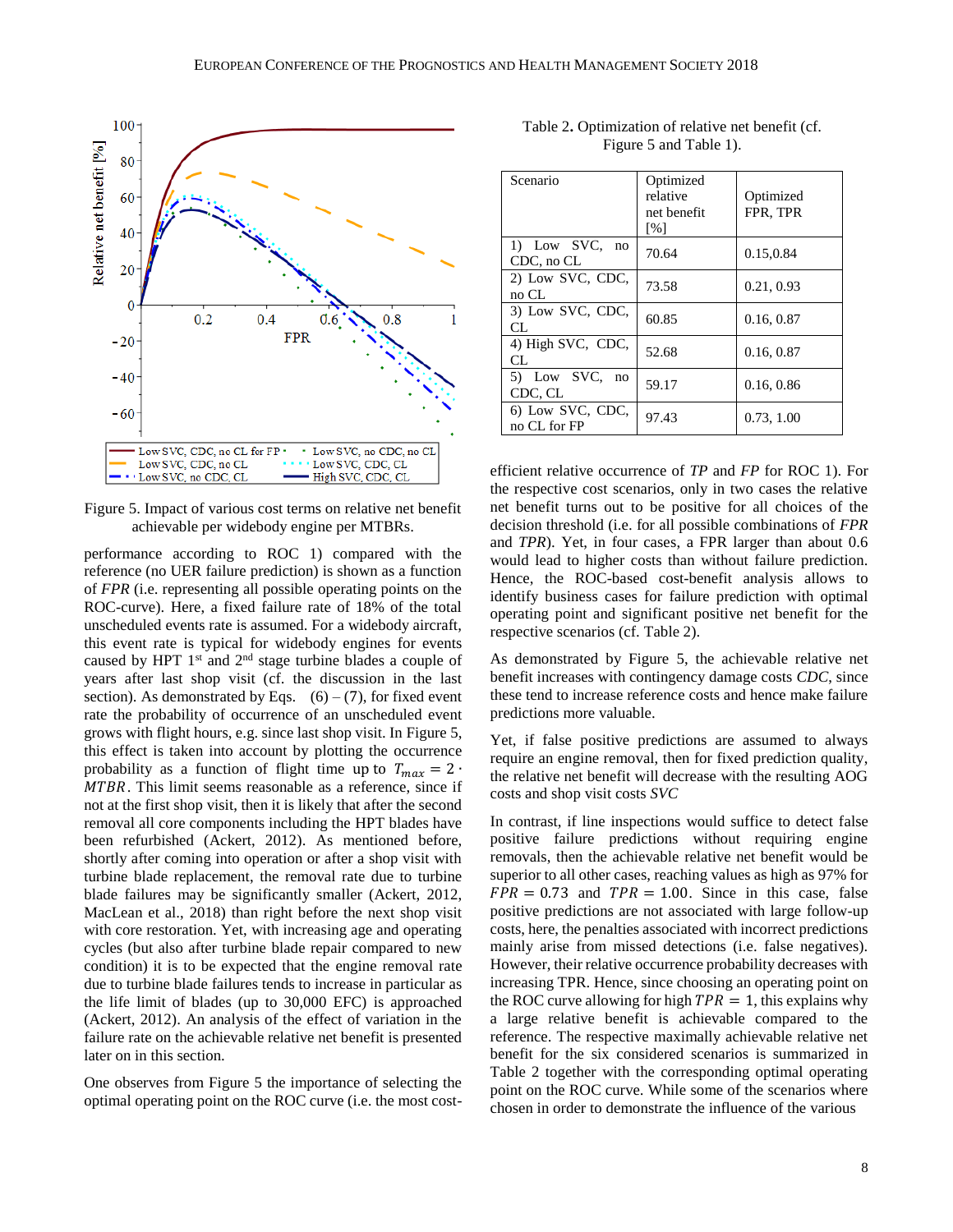

<span id="page-7-0"></span>Figure 5. Impact of various cost terms on relative net benefit achievable per widebody engine per MTBRs.

performance according to ROC 1) compared with the reference (no UER failure prediction) is shown as a function of *FPR* (i.e. representing all possible operating points on the ROC-curve). Here, a fixed failure rate of 18% of the total unscheduled events rate is assumed. For a widebody aircraft, this event rate is typical for widebody engines for events caused by HPT  $1<sup>st</sup>$  and  $2<sup>nd</sup>$  stage turbine blades a couple of years after last shop visit (cf. the discussion in the last section). As demonstrated by Eqs.  $(6) - (7)$  $(6) - (7)$  $(6) - (7)$ , for fixed event rate the probability of occurrence of an unscheduled event grows with flight hours, e.g. since last shop visit. In [Figure 5,](#page-7-0) this effect is taken into account by plotting the occurrence probability as a function of flight time up to  $T_{max} = 2 \cdot$ MTBR. This limit seems reasonable as a reference, since if not at the first shop visit, then it is likely that after the second removal all core components including the HPT blades have been refurbished (Ackert, 2012). As mentioned before, shortly after coming into operation or after a shop visit with turbine blade replacement, the removal rate due to turbine blade failures may be significantly smaller (Ackert, 2012, MacLean et al., 2018) than right before the next shop visit with core restoration. Yet, with increasing age and operating cycles (but also after turbine blade repair compared to new condition) it is to be expected that the engine removal rate due to turbine blade failures tends to increase in particular as the life limit of blades (up to 30,000 EFC) is approached (Ackert, 2012). An analysis of the effect of variation in the failure rate on the achievable relative net benefit is presented later on in this section.

One observes from [Figure 5](#page-7-0) the importance of selecting the optimal operating point on the ROC curve (i.e. the most cost-

<span id="page-7-1"></span>

|                        | Table 2. Optimization of relative net benefit (cf. |  |  |  |
|------------------------|----------------------------------------------------|--|--|--|
| Figure 5 and Table 1). |                                                    |  |  |  |
|                        |                                                    |  |  |  |
|                        |                                                    |  |  |  |

| Scenario                         | Optimized<br>relative<br>net benefit<br>$\lceil \% \rceil$ | Optimized<br>FPR, TPR |
|----------------------------------|------------------------------------------------------------|-----------------------|
| 1) Low SVC, no<br>CDC, no CL     | 70.64                                                      | 0.15,0.84             |
| 2) Low SVC, CDC,<br>no CL        | 73.58                                                      | 0.21, 0.93            |
| 3) Low SVC, CDC,<br>CL.          | 60.85                                                      | 0.16, 0.87            |
| 4) High SVC, CDC,<br>CL.         | 52.68                                                      | 0.16, 0.87            |
| 5) Low SVC, no<br>CDC, CL        | 59.17                                                      | 0.16, 0.86            |
| 6) Low SVC, CDC,<br>no CL for FP | 97.43                                                      | 0.73, 1.00            |

efficient relative occurrence of *TP* and *FP* for ROC 1). For the respective cost scenarios, only in two cases the relative net benefit turns out to be positive for all choices of the decision threshold (i.e. for all possible combinations of *FPR* and *TPR*). Yet, in four cases, a FPR larger than about 0.6 would lead to higher costs than without failure prediction. Hence, the ROC-based cost-benefit analysis allows to identify business cases for failure prediction with optimal operating point and significant positive net benefit for the respective scenarios (cf. [Table 2\)](#page-7-1).

As demonstrated by [Figure 5,](#page-7-0) the achievable relative net benefit increases with contingency damage costs *CDC*, since these tend to increase reference costs and hence make failure predictions more valuable.

Yet, if false positive predictions are assumed to always require an engine removal, then for fixed prediction quality, the relative net benefit will decrease with the resulting AOG costs and shop visit costs *SVC*

In contrast, if line inspections would suffice to detect false positive failure predictions without requiring engine removals, then the achievable relative net benefit would be superior to all other cases, reaching values as high as 97% for  $FPR = 0.73$  and  $TPR = 1.00$ . Since in this case, false positive predictions are not associated with large follow-up costs, here, the penalties associated with incorrect predictions mainly arise from missed detections (i.e. false negatives). However, their relative occurrence probability decreases with increasing TPR. Hence, since choosing an operating point on the ROC curve allowing for high  $TPR = 1$ , this explains why a large relative benefit is achievable compared to the reference. The respective maximally achievable relative net benefit for the six considered scenarios is summarized in [Table 2](#page-7-1) together with the corresponding optimal operating point on the ROC curve. While some of the scenarios where chosen in order to demonstrate the influence of the various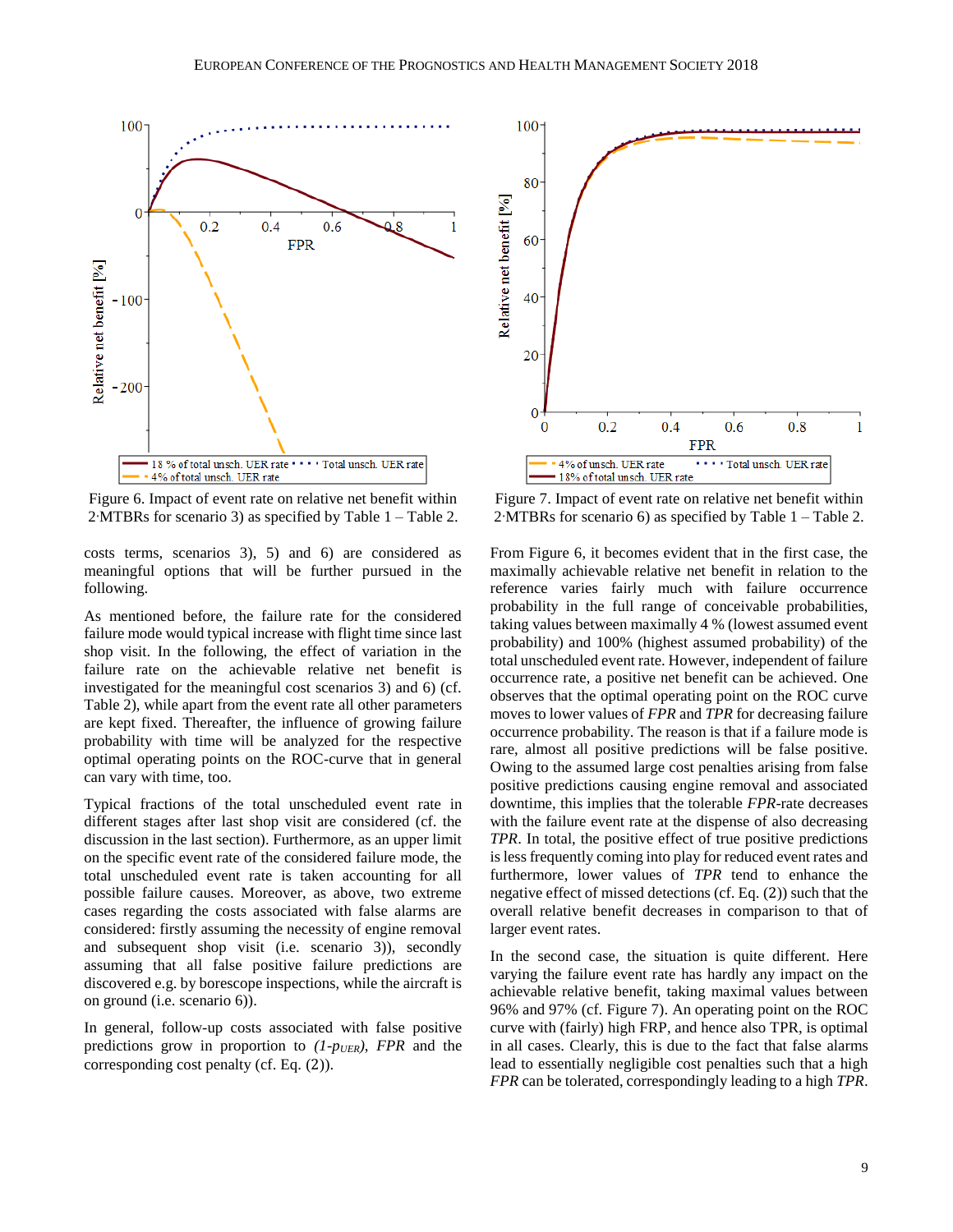

<span id="page-8-0"></span>Figure 6. Impact of event rate on relative net benefit within 2∙MTBRs for scenario 3) as specified by [Table 1](#page-6-1) – [Table 2.](#page-7-1)

costs terms, scenarios 3), 5) and 6) are considered as meaningful options that will be further pursued in the following.

As mentioned before, the failure rate for the considered failure mode would typical increase with flight time since last shop visit. In the following, the effect of variation in the failure rate on the achievable relative net benefit is investigated for the meaningful cost scenarios 3) and 6) (cf. [Table 2\)](#page-7-1), while apart from the event rate all other parameters are kept fixed. Thereafter, the influence of growing failure probability with time will be analyzed for the respective optimal operating points on the ROC-curve that in general can vary with time, too.

Typical fractions of the total unscheduled event rate in different stages after last shop visit are considered (cf. the discussion in the last section). Furthermore, as an upper limit on the specific event rate of the considered failure mode, the total unscheduled event rate is taken accounting for all possible failure causes. Moreover, as above, two extreme cases regarding the costs associated with false alarms are considered: firstly assuming the necessity of engine removal and subsequent shop visit (i.e. scenario 3)), secondly assuming that all false positive failure predictions are discovered e.g. by borescope inspections, while the aircraft is on ground (i.e. scenario 6)).

In general, follow-up costs associated with false positive predictions grow in proportion to *(1-pUER)*, *FPR* and the corresponding cost penalty (cf. Eq. [\(](#page-2-1)2)).



<span id="page-8-1"></span>Figure 7. Impact of event rate on relative net benefit within 2∙MTBRs for scenario 6) as specified by [Table 1](#page-6-1) – [Table 2.](#page-7-1)

From [Figure 6,](#page-8-0) it becomes evident that in the first case, the maximally achievable relative net benefit in relation to the reference varies fairly much with failure occurrence probability in the full range of conceivable probabilities, taking values between maximally 4 % (lowest assumed event probability) and 100% (highest assumed probability) of the total unscheduled event rate. However, independent of failure occurrence rate, a positive net benefit can be achieved. One observes that the optimal operating point on the ROC curve moves to lower values of *FPR* and *TPR* for decreasing failure occurrence probability. The reason is that if a failure mode is rare, almost all positive predictions will be false positive. Owing to the assumed large cost penalties arising from false positive predictions causing engine removal and associated downtime, this implies that the tolerable *FPR*-rate decreases with the failure event rate at the dispense of also decreasing *TPR*. In total, the positive effect of true positive predictions is less frequently coming into play for reduced event rates and furthermore, lower values of *TPR* tend to enhance the negative effect of missed detections (cf. Eq[. \(](#page-2-1)2)) such that the overall relative benefit decreases in comparison to that of larger event rates.

In the second case, the situation is quite different. Here varying the failure event rate has hardly any impact on the achievable relative benefit, taking maximal values between 96% and 97% (cf. [Figure 7\)](#page-8-1). An operating point on the ROC curve with (fairly) high FRP, and hence also TPR, is optimal in all cases. Clearly, this is due to the fact that false alarms lead to essentially negligible cost penalties such that a high *FPR* can be tolerated, correspondingly leading to a high *TPR*.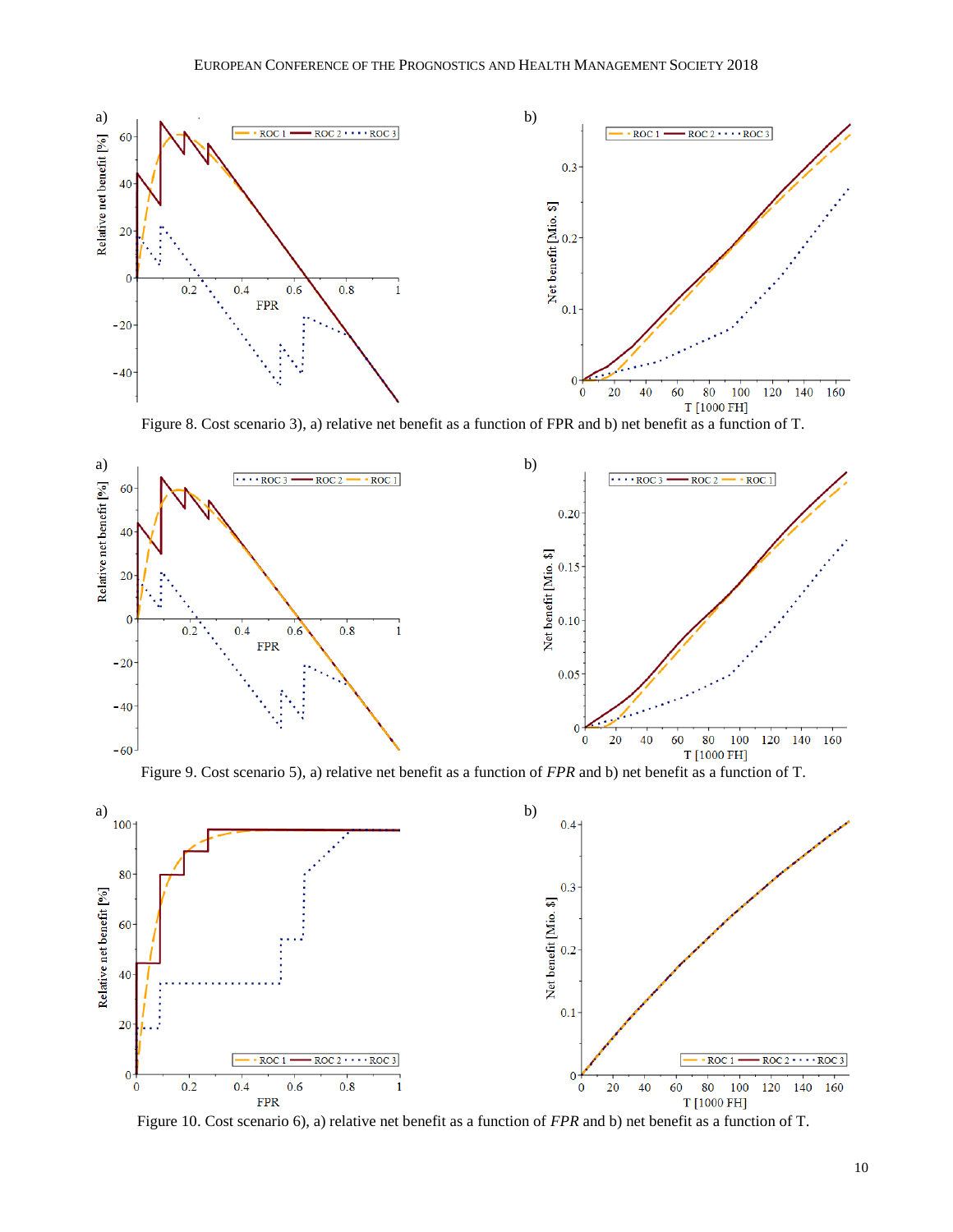

Figure 8. Cost scenario 3), a) relative net benefit as a function of FPR and b) net benefit as a function of T.

<span id="page-9-0"></span>

Figure 9. Cost scenario 5), a) relative net benefit as a function of *FPR* and b) net benefit as a function of T.

<span id="page-9-2"></span>

<span id="page-9-1"></span>Figure 10. Cost scenario 6), a) relative net benefit as a function of *FPR* and b) net benefit as a function of T.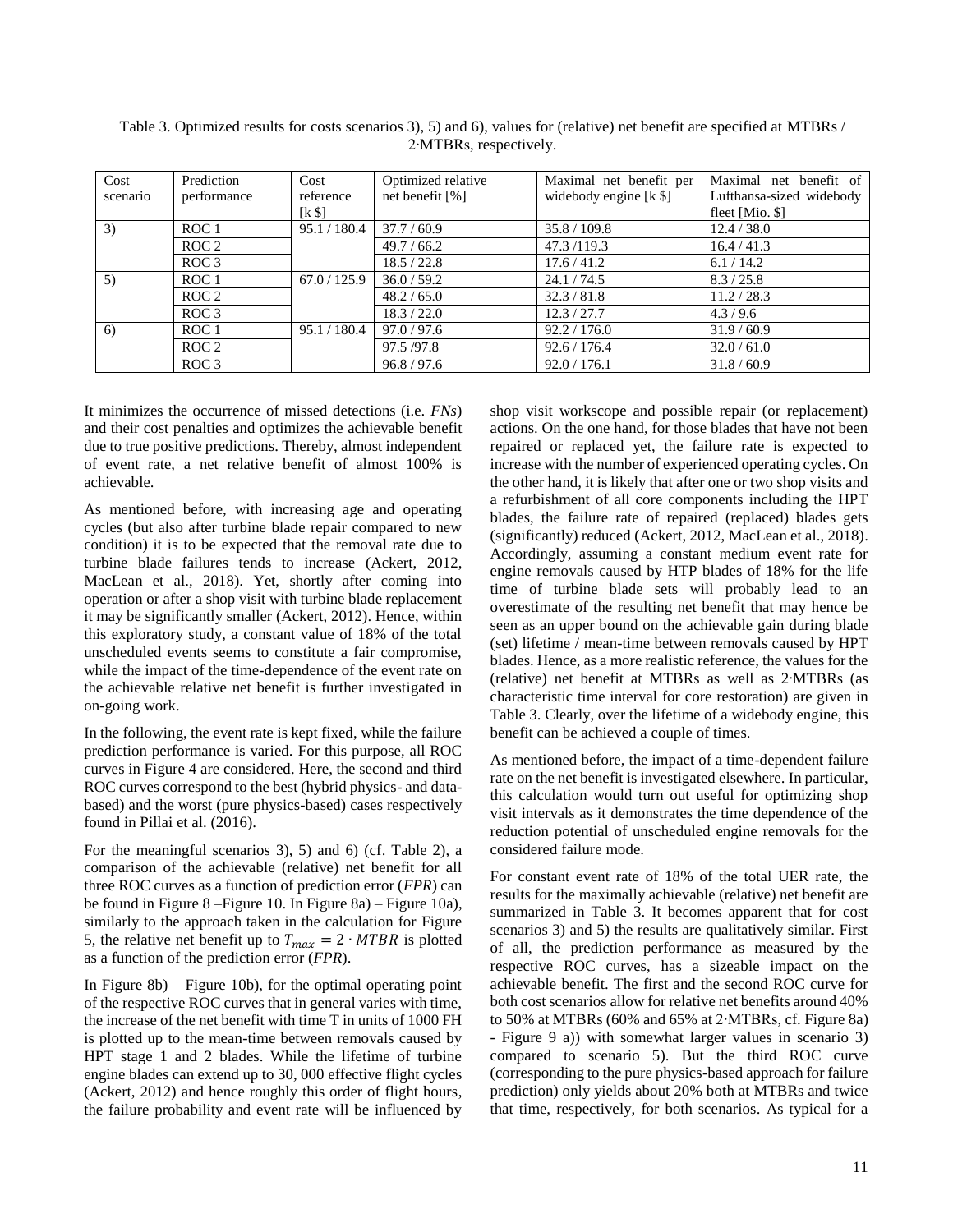| Cost<br>scenario | Prediction<br>performance | Cost<br>reference | Optimized relative<br>net benefit $\lceil \% \rceil$ | Maximal net benefit per<br>widebody engine $[k \$ | Maximal net benefit of<br>Lufthansa-sized widebody |
|------------------|---------------------------|-------------------|------------------------------------------------------|---------------------------------------------------|----------------------------------------------------|
|                  |                           | $[k \$            |                                                      |                                                   | fleet [Mio. $\$ ]                                  |
| 3)               | ROC <sub>1</sub>          | 95.1 / 180.4      | 37.7/60.9                                            | 35.8 / 109.8                                      | 12.4 / 38.0                                        |
|                  | ROC <sub>2</sub>          |                   | 49.7 / 66.2                                          | 47.3/119.3                                        | 16.4 / 41.3                                        |
|                  | ROC <sub>3</sub>          |                   | 18.5 / 22.8                                          | 17.6 / 41.2                                       | 6.1 / 14.2                                         |
| 5)               | ROC <sub>1</sub>          | 67.0 / 125.9      | 36.0 / 59.2                                          | 24.1 / 74.5                                       | 8.3 / 25.8                                         |
|                  | ROC <sub>2</sub>          |                   | 48.2 / 65.0                                          | 32.3 / 81.8                                       | 11.2 / 28.3                                        |
|                  | ROC <sub>3</sub>          |                   | 18.3 / 22.0                                          | 12.3 / 27.7                                       | 4.3/9.6                                            |
| 6)               | ROC <sub>1</sub>          | 95.1 / 180.4      | 97.0 / 97.6                                          | 92.2 / 176.0                                      | 31.9/60.9                                          |
|                  | ROC <sub>2</sub>          |                   | 97.5/97.8                                            | 92.6 / 176.4                                      | 32.0 / 61.0                                        |
|                  | ROC <sub>3</sub>          |                   | 96.8 / 97.6                                          | 92.0 / 176.1                                      | 31.8 / 60.9                                        |

<span id="page-10-0"></span>Table 3. Optimized results for costs scenarios 3), 5) and 6), values for (relative) net benefit are specified at MTBRs / 2∙MTBRs, respectively.

It minimizes the occurrence of missed detections (i.e. *FNs*) and their cost penalties and optimizes the achievable benefit due to true positive predictions. Thereby, almost independent of event rate, a net relative benefit of almost 100% is achievable.

As mentioned before, with increasing age and operating cycles (but also after turbine blade repair compared to new condition) it is to be expected that the removal rate due to turbine blade failures tends to increase (Ackert, 2012, MacLean et al., 2018). Yet, shortly after coming into operation or after a shop visit with turbine blade replacement it may be significantly smaller (Ackert, 2012). Hence, within this exploratory study, a constant value of 18% of the total unscheduled events seems to constitute a fair compromise, while the impact of the time-dependence of the event rate on the achievable relative net benefit is further investigated in on-going work.

In the following, the event rate is kept fixed, while the failure prediction performance is varied. For this purpose, all ROC curves in [Figure 4](#page-6-2) are considered. Here, the second and third ROC curves correspond to the best (hybrid physics- and databased) and the worst (pure physics-based) cases respectively found in Pillai et al. (2016).

For the meaningful scenarios 3), 5) and 6) (cf. [Table 2\)](#page-7-1), a comparison of the achievable (relative) net benefit for all three ROC curves as a function of prediction error (*FPR*) can be found in [Figure 8](#page-9-0) [–Figure](#page-9-1) 10. In [Figure 8a](#page-9-0)) – [Figure](#page-9-1) 10a), similarly to the approach taken in the calculation for [Figure](#page-7-0)  [5,](#page-7-0) the relative net benefit up to  $T_{max} = 2 \cdot MTBR$  is plotted as a function of the prediction error (*FPR*).

In [Figure 8b](#page-9-0)) – [Figure](#page-9-1) 10b), for the optimal operating point of the respective ROC curves that in general varies with time, the increase of the net benefit with time T in units of 1000 FH is plotted up to the mean-time between removals caused by HPT stage 1 and 2 blades. While the lifetime of turbine engine blades can extend up to 30, 000 effective flight cycles (Ackert, 2012) and hence roughly this order of flight hours, the failure probability and event rate will be influenced by shop visit workscope and possible repair (or replacement) actions. On the one hand, for those blades that have not been repaired or replaced yet, the failure rate is expected to increase with the number of experienced operating cycles. On the other hand, it is likely that after one or two shop visits and a refurbishment of all core components including the HPT blades, the failure rate of repaired (replaced) blades gets (significantly) reduced (Ackert, 2012, MacLean et al., 2018). Accordingly, assuming a constant medium event rate for engine removals caused by HTP blades of 18% for the life time of turbine blade sets will probably lead to an overestimate of the resulting net benefit that may hence be seen as an upper bound on the achievable gain during blade (set) lifetime / mean-time between removals caused by HPT blades. Hence, as a more realistic reference, the values for the (relative) net benefit at MTBRs as well as 2∙MTBRs (as characteristic time interval for core restoration) are given in [Table 3.](#page-10-0) Clearly, over the lifetime of a widebody engine, this benefit can be achieved a couple of times.

As mentioned before, the impact of a time-dependent failure rate on the net benefit is investigated elsewhere. In particular, this calculation would turn out useful for optimizing shop visit intervals as it demonstrates the time dependence of the reduction potential of unscheduled engine removals for the considered failure mode.

For constant event rate of 18% of the total UER rate, the results for the maximally achievable (relative) net benefit are summarized in [Table 3.](#page-10-0) It becomes apparent that for cost scenarios 3) and 5) the results are qualitatively similar. First of all, the prediction performance as measured by the respective ROC curves, has a sizeable impact on the achievable benefit. The first and the second ROC curve for both cost scenarios allow for relative net benefits around 40% to 50% at MTBRs (60% and 65% at 2∙MTBRs, cf. [Figure 8a](#page-9-0)) - [Figure 9](#page-9-2) a)) with somewhat larger values in scenario 3) compared to scenario 5). But the third ROC curve (corresponding to the pure physics-based approach for failure prediction) only yields about 20% both at MTBRs and twice that time, respectively, for both scenarios. As typical for a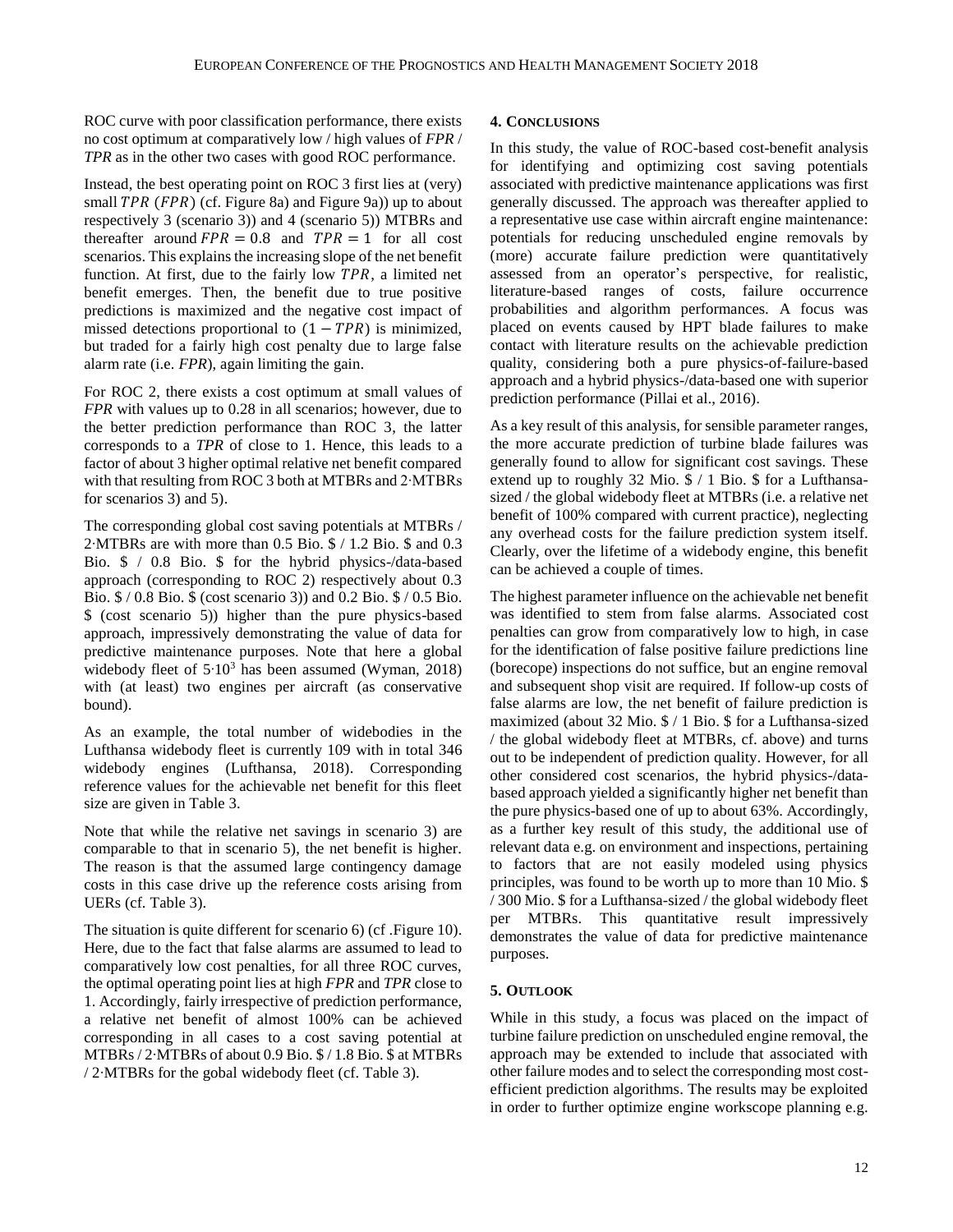ROC curve with poor classification performance, there exists no cost optimum at comparatively low / high values of *FPR* / *TPR* as in the other two cases with good ROC performance.

Instead, the best operating point on ROC 3 first lies at (very) small  $TPR$  ( $FPR$ ) (cf[. Figure 8a](#page-9-0)) and [Figure 9a](#page-9-2))) up to about respectively 3 (scenario 3)) and 4 (scenario 5)) MTBRs and thereafter around  $FPR = 0.8$  and  $TPR = 1$  for all cost scenarios. This explains the increasing slope of the net benefit function. At first, due to the fairly low  $TPR$ , a limited net benefit emerges. Then, the benefit due to true positive predictions is maximized and the negative cost impact of missed detections proportional to  $(1 - TPR)$  is minimized, but traded for a fairly high cost penalty due to large false alarm rate (i.e. *FPR*), again limiting the gain.

For ROC 2, there exists a cost optimum at small values of *FPR* with values up to 0.28 in all scenarios; however, due to the better prediction performance than ROC 3, the latter corresponds to a *TPR* of close to 1. Hence, this leads to a factor of about 3 higher optimal relative net benefit compared with that resulting from ROC 3 both at MTBRs and 2∙MTBRs for scenarios 3) and 5).

The corresponding global cost saving potentials at MTBRs / 2∙MTBRs are with more than 0.5 Bio. \$ / 1.2 Bio. \$ and 0.3 Bio. \$ / 0.8 Bio. \$ for the hybrid physics-/data-based approach (corresponding to ROC 2) respectively about 0.3 Bio. \$ / 0.8 Bio. \$ (cost scenario 3)) and 0.2 Bio. \$ / 0.5 Bio. \$ (cost scenario 5)) higher than the pure physics-based approach, impressively demonstrating the value of data for predictive maintenance purposes. Note that here a global widebody fleet of 5⋅10<sup>3</sup> has been assumed (Wyman, 2018) with (at least) two engines per aircraft (as conservative bound).

As an example, the total number of widebodies in the Lufthansa widebody fleet is currently 109 with in total 346 widebody engines (Lufthansa, 2018). Corresponding reference values for the achievable net benefit for this fleet size are given in [Table 3.](#page-10-0)

Note that while the relative net savings in scenario 3) are comparable to that in scenario 5), the net benefit is higher. The reason is that the assumed large contingency damage costs in this case drive up the reference costs arising from UERs (cf. [Table 3\)](#page-10-0).

The situation is quite different for scenario 6) (cf [.Figure 10\)](#page-9-1). Here, due to the fact that false alarms are assumed to lead to comparatively low cost penalties, for all three ROC curves, the optimal operating point lies at high *FPR* and *TPR* close to 1. Accordingly, fairly irrespective of prediction performance, a relative net benefit of almost 100% can be achieved corresponding in all cases to a cost saving potential at MTBRs / 2∙MTBRs of about 0.9 Bio. \$ / 1.8 Bio. \$ at MTBRs / 2∙MTBRs for the gobal widebody fleet (cf. [Table 3\)](#page-10-0).

#### **4. CONCLUSIONS**

In this study, the value of ROC-based cost-benefit analysis for identifying and optimizing cost saving potentials associated with predictive maintenance applications was first generally discussed. The approach was thereafter applied to a representative use case within aircraft engine maintenance: potentials for reducing unscheduled engine removals by (more) accurate failure prediction were quantitatively assessed from an operator's perspective, for realistic, literature-based ranges of costs, failure occurrence probabilities and algorithm performances. A focus was placed on events caused by HPT blade failures to make contact with literature results on the achievable prediction quality, considering both a pure physics-of-failure-based approach and a hybrid physics-/data-based one with superior prediction performance (Pillai et al., 2016).

As a key result of this analysis, for sensible parameter ranges, the more accurate prediction of turbine blade failures was generally found to allow for significant cost savings. These extend up to roughly 32 Mio. \$ / 1 Bio. \$ for a Lufthansasized / the global widebody fleet at MTBRs (i.e. a relative net benefit of 100% compared with current practice), neglecting any overhead costs for the failure prediction system itself. Clearly, over the lifetime of a widebody engine, this benefit can be achieved a couple of times.

The highest parameter influence on the achievable net benefit was identified to stem from false alarms. Associated cost penalties can grow from comparatively low to high, in case for the identification of false positive failure predictions line (borecope) inspections do not suffice, but an engine removal and subsequent shop visit are required. If follow-up costs of false alarms are low, the net benefit of failure prediction is maximized (about 32 Mio. \$ / 1 Bio. \$ for a Lufthansa-sized / the global widebody fleet at MTBRs, cf. above) and turns out to be independent of prediction quality. However, for all other considered cost scenarios, the hybrid physics-/databased approach yielded a significantly higher net benefit than the pure physics-based one of up to about 63%. Accordingly, as a further key result of this study, the additional use of relevant data e.g. on environment and inspections, pertaining to factors that are not easily modeled using physics principles, was found to be worth up to more than 10 Mio. \$ / 300 Mio. \$ for a Lufthansa-sized / the global widebody fleet per MTBRs. This quantitative result impressively demonstrates the value of data for predictive maintenance purposes.

## **5. OUTLOOK**

While in this study, a focus was placed on the impact of turbine failure prediction on unscheduled engine removal, the approach may be extended to include that associated with other failure modes and to select the corresponding most costefficient prediction algorithms. The results may be exploited in order to further optimize engine workscope planning e.g.